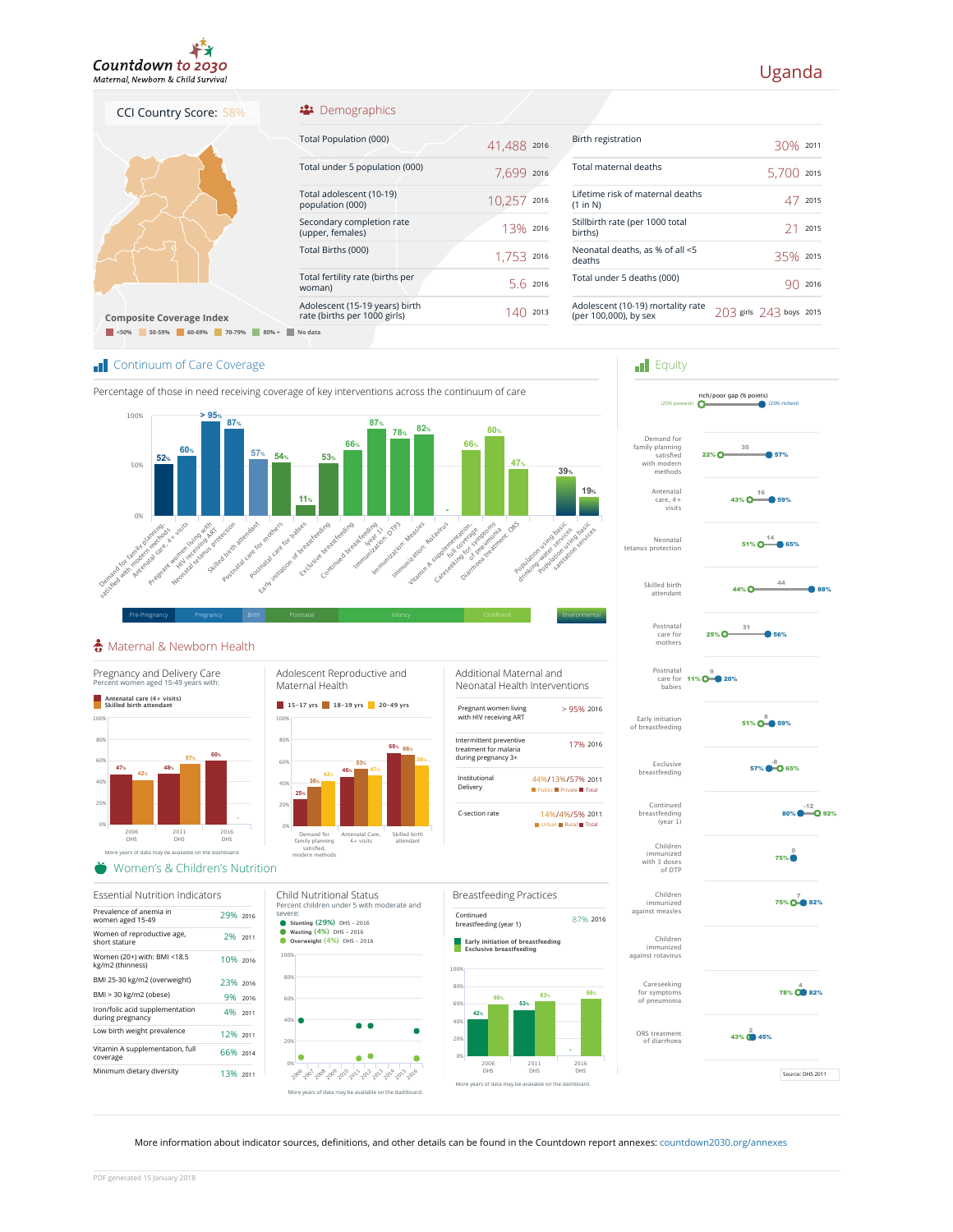

## Uganda

## <sup>22</sup> Demographics

| <b>Composite Coverage Index</b>     |  |
|-------------------------------------|--|
| < 50%<br>50-59%<br>60-69%<br>70-79% |  |

CCI Country Score: 58%

| Total Population (000)                                         | 41,488 2016 |      |
|----------------------------------------------------------------|-------------|------|
| Total under 5 population (000)                                 | 7.699       | 2016 |
| Total adolescent (10-19)<br>population (000)                   | 10,257      | 2016 |
| Secondary completion rate<br>(upper, females)                  | 13% 2016    |      |
| Total Births (000)                                             | 1.753       | 2016 |
| Total fertility rate (births per<br>woman)                     | 5 6 2016    |      |
| Adolescent (15-19 years) birth<br>rate (births per 1000 girls) | 14          | 2013 |
| No data                                                        |             |      |

| Birth registration                                         |                         | $30\%$ 2011 |      |
|------------------------------------------------------------|-------------------------|-------------|------|
| Total maternal deaths                                      |                         | 5.700       | 2015 |
| Lifetime risk of maternal deaths<br>(1 in N)               |                         |             | 2015 |
| Stillbirth rate (per 1000 total<br>births)                 |                         | 21          | 2015 |
| Neonatal deaths, as % of all <5<br>deaths                  |                         | 35% 2015    |      |
| Total under 5 deaths (000)                                 |                         |             | 2016 |
| Adolescent (10-19) mortality rate<br>(per 100,000), by sex | 203 girls 243 boys 2015 |             |      |
|                                                            |                         |             |      |

**Equity** 

Postnatal care for mothers

Skilled birth attendant

Neonatal tetanus protection

Antenatal care, 4+ visits

Demand for family planning satisfied with modern i iliuucili<br>mathods

rich/poor gap (% points) (20% poorest) (20% richest)

 $22\%$   $\Omega$  =  $\Omega$  57% 35

 $25\%$  O  $\longrightarrow$  56% 31

44% **O** 

44

51%  $\mathbf{O}$   $\overset{14}{\longrightarrow}$  65%

 $43\%$   $\overline{O}$  59% 16

**T** Continuum of Care Coverage



## Maternal & Newborn Health



More information about indicator sources, definitions, and other details can be found in the Countdown report annexes: countdown2030.org/annexes

PDF generated 15 January 2018